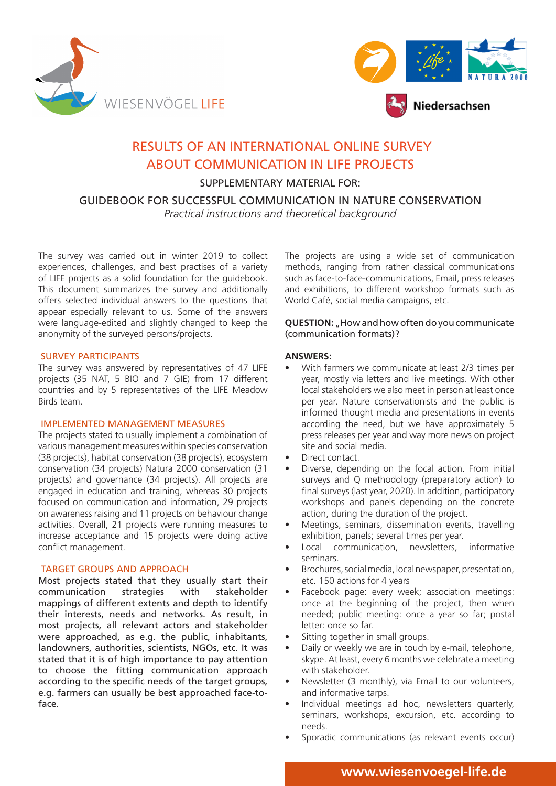



# RESULTS OF AN INTERNATIONAL ONLINE SURVEY ABOUT COMMUNICATION IN LIFE PROJECTS

SUPPLEMENTARY MATERIAL FOR:

GUIDEBOOK FOR SUCCESSFUL COMMUNICATION IN NATURE CONSERVATION

*Practical instructions and theoretical background*

The survey was carried out in winter 2019 to collect experiences, challenges, and best practises of a variety of LIFE projects as a solid foundation for the guidebook. This document summarizes the survey and additionally offers selected individual answers to the questions that appear especially relevant to us. Some of the answers were language-edited and slightly changed to keep the anonymity of the surveyed persons/projects.

# SURVEY PARTICIPANTS

The survey was answered by representatives of 47 LIFE projects (35 NAT, 5 BIO and 7 GIE) from 17 different countries and by 5 representatives of the LIFE Meadow Birds team.

#### IMPLEMENTED MANAGEMENT MEASURES

The projects stated to usually implement a combination of various management measures within species conservation (38 projects), habitat conservation (38 projects), ecosystem conservation (34 projects) Natura 2000 conservation (31 projects) and governance (34 projects). All projects are engaged in education and training, whereas 30 projects focused on communication and information, 29 projects on awareness raising and 11 projects on behaviour change activities. Overall, 21 projects were running measures to increase acceptance and 15 projects were doing active conflict management.

#### TARGET GROUPS AND APPROACH

Most projects stated that they usually start their communication strategies with stakeholder mappings of different extents and depth to identify their interests, needs and networks. As result, in most projects, all relevant actors and stakeholder were approached, as e.g. the public, inhabitants, landowners, authorities, scientists, NGOs, etc. It was stated that it is of high importance to pay attention to choose the fitting communication approach according to the specific needs of the target groups, e.g. farmers can usually be best approached face-toface.

The projects are using a wide set of communication methods, ranging from rather classical communications such as face-to-face-communications, Email, press releases and exhibitions, to different workshop formats such as World Café, social media campaigns, etc.

# **QUESTION:** "How and how often do you communicate (communication formats)?

# **ANSWERS:**

- With farmers we communicate at least 2/3 times per year, mostly via letters and live meetings. With other local stakeholders we also meet in person at least once per year. Nature conservationists and the public is informed thought media and presentations in events according the need, but we have approximately 5 press releases per year and way more news on project site and social media.
- Direct contact
- Diverse, depending on the focal action. From initial surveys and Q methodology (preparatory action) to final surveys (last year, 2020). In addition, participatory workshops and panels depending on the concrete action, during the duration of the project.
- Meetings, seminars, dissemination events, travelling exhibition, panels; several times per year.
- Local communication, newsletters, informative seminars.
- Brochures, social media, local newspaper, presentation, etc. 150 actions for 4 years
- Facebook page: every week; association meetings: once at the beginning of the project, then when needed; public meeting: once a year so far; postal letter: once so far.
- Sitting together in small groups.
- Daily or weekly we are in touch by e-mail, telephone, skype. At least, every 6 months we celebrate a meeting with stakeholder.
- Newsletter (3 monthly), via Email to our volunteers, and informative tarps.
- Individual meetings ad hoc, newsletters quarterly, seminars, workshops, excursion, etc. according to needs.
- Sporadic communications (as relevant events occur)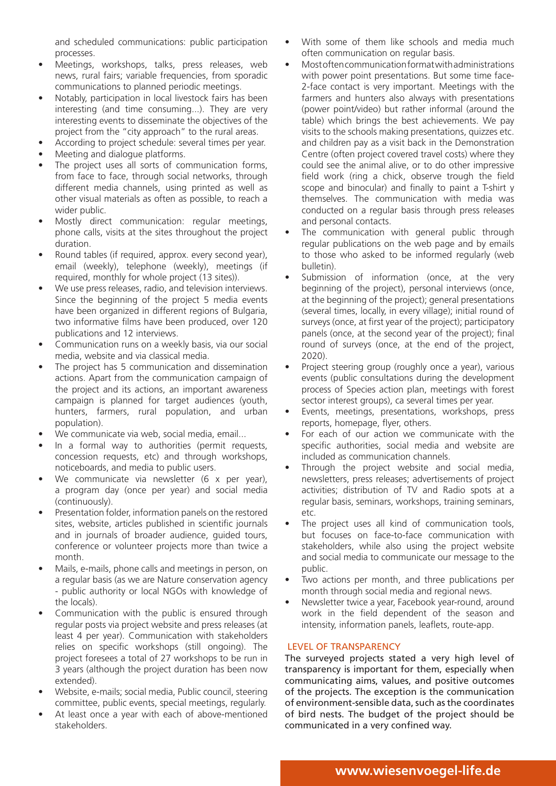and scheduled communications: public participation processes.

- Meetings, workshops, talks, press releases, web news, rural fairs; variable frequencies, from sporadic communications to planned periodic meetings.
- Notably, participation in local livestock fairs has been interesting (and time consuming...). They are very interesting events to disseminate the objectives of the project from the "city approach" to the rural areas.
- According to project schedule: several times per year.
- Meeting and dialogue platforms.
- The project uses all sorts of communication forms, from face to face, through social networks, through different media channels, using printed as well as other visual materials as often as possible, to reach a wider public.
- Mostly direct communication: regular meetings, phone calls, visits at the sites throughout the project duration.
- Round tables (if required, approx. every second year), email (weekly), telephone (weekly), meetings (if required, monthly for whole project (13 sites)).
- We use press releases, radio, and television interviews. Since the beginning of the project 5 media events have been organized in different regions of Bulgaria, two informative films have been produced, over 120 publications and 12 interviews.
- Communication runs on a weekly basis, via our social media, website and via classical media.
- The project has 5 communication and dissemination actions. Apart from the communication campaign of the project and its actions, an important awareness campaign is planned for target audiences (youth, hunters, farmers, rural population, and urban population).
- We communicate via web, social media, email...
- In a formal way to authorities (permit requests, concession requests, etc) and through workshops, noticeboards, and media to public users.
- We communicate via newsletter (6 x per year), a program day (once per year) and social media (continuously).
- Presentation folder, information panels on the restored sites, website, articles published in scientific journals and in journals of broader audience, guided tours, conference or volunteer projects more than twice a month.
- Mails, e-mails, phone calls and meetings in person, on a regular basis (as we are Nature conservation agency - public authority or local NGOs with knowledge of the locals).
- Communication with the public is ensured through regular posts via project website and press releases (at least 4 per year). Communication with stakeholders relies on specific workshops (still ongoing). The project foresees a total of 27 workshops to be run in 3 years (although the project duration has been now extended).
- Website, e-mails; social media, Public council, steering committee, public events, special meetings, regularly.
- At least once a year with each of above-mentioned stakeholders.
- With some of them like schools and media much often communication on regular basis.
- Most often communication format with administrations with power point presentations. But some time face-2-face contact is very important. Meetings with the farmers and hunters also always with presentations (power point/video) but rather informal (around the table) which brings the best achievements. We pay visits to the schools making presentations, quizzes etc. and children pay as a visit back in the Demonstration Centre (often project covered travel costs) where they could see the animal alive, or to do other impressive field work (ring a chick, observe trough the field scope and binocular) and finally to paint a T-shirt y themselves. The communication with media was conducted on a regular basis through press releases and personal contacts.
- The communication with general public through regular publications on the web page and by emails to those who asked to be informed regularly (web bulletin).
- Submission of information (once, at the very beginning of the project), personal interviews (once, at the beginning of the project); general presentations (several times, locally, in every village); initial round of surveys (once, at first year of the project); participatory panels (once, at the second year of the project); final round of surveys (once, at the end of the project, 2020).
- Project steering group (roughly once a year), various events (public consultations during the development process of Species action plan, meetings with forest sector interest groups), ca several times per year.
- Events, meetings, presentations, workshops, press reports, homepage, flyer, others.
- For each of our action we communicate with the specific authorities, social media and website are included as communication channels.
- Through the project website and social media, newsletters, press releases; advertisements of project activities; distribution of TV and Radio spots at a regular basis, seminars, workshops, training seminars, etc.
- The project uses all kind of communication tools, but focuses on face-to-face communication with stakeholders, while also using the project website and social media to communicate our message to the public.
- Two actions per month, and three publications per month through social media and regional news.
- Newsletter twice a year, Facebook year-round, around work in the field dependent of the season and intensity, information panels, leaflets, route-app.

# LEVEL OF TRANSPARENCY

The surveyed projects stated a very high level of transparency is important for them, especially when communicating aims, values, and positive outcomes of the projects. The exception is the communication of environment-sensible data, such as the coordinates of bird nests. The budget of the project should be communicated in a very confined way.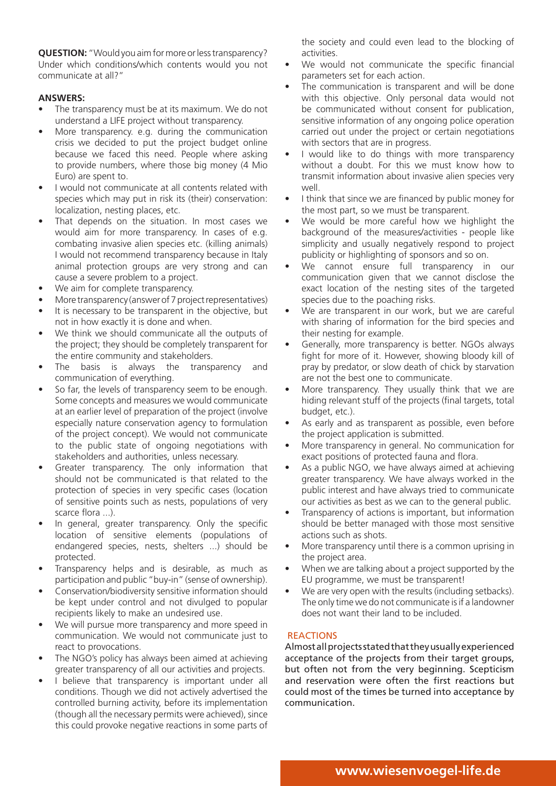**QUESTION:** "Would you aim for more or less transparency? Under which conditions/which contents would you not communicate at all?"

# **ANSWERS:**

- The transparency must be at its maximum. We do not understand a LIFE project without transparency.
- More transparency. e.g. during the communication crisis we decided to put the project budget online because we faced this need. People where asking to provide numbers, where those big money (4 Mio Euro) are spent to.
- I would not communicate at all contents related with species which may put in risk its (their) conservation: localization, nesting places, etc.
- That depends on the situation. In most cases we would aim for more transparency. In cases of e.g. combating invasive alien species etc. (killing animals) I would not recommend transparency because in Italy animal protection groups are very strong and can cause a severe problem to a project.
- We aim for complete transparency.
- More transparency (answer of 7 project representatives)
- It is necessary to be transparent in the objective, but not in how exactly it is done and when.
- We think we should communicate all the outputs of the project; they should be completely transparent for the entire community and stakeholders.
- The basis is always the transparency and communication of everything.
- So far, the levels of transparency seem to be enough. Some concepts and measures we would communicate at an earlier level of preparation of the project (involve especially nature conservation agency to formulation of the project concept). We would not communicate to the public state of ongoing negotiations with stakeholders and authorities, unless necessary.
- Greater transparency. The only information that should not be communicated is that related to the protection of species in very specific cases (location of sensitive points such as nests, populations of very scarce flora ...).
- In general, greater transparency. Only the specific location of sensitive elements (populations of endangered species, nests, shelters ...) should be protected.
- Transparency helps and is desirable, as much as participation and public "buy-in" (sense of ownership).
- Conservation/biodiversity sensitive information should be kept under control and not divulged to popular recipients likely to make an undesired use.
- We will pursue more transparency and more speed in communication. We would not communicate just to react to provocations.
- The NGO's policy has always been aimed at achieving greater transparency of all our activities and projects.
- I believe that transparency is important under all conditions. Though we did not actively advertised the controlled burning activity, before its implementation (though all the necessary permits were achieved), since this could provoke negative reactions in some parts of

the society and could even lead to the blocking of activities.

- We would not communicate the specific financial parameters set for each action.
- The communication is transparent and will be done with this objective. Only personal data would not be communicated without consent for publication, sensitive information of any ongoing police operation carried out under the project or certain negotiations with sectors that are in progress.
- I would like to do things with more transparency without a doubt. For this we must know how to transmit information about invasive alien species very well.
- I think that since we are financed by public money for the most part, so we must be transparent.
- We would be more careful how we highlight the background of the measures/activities - people like simplicity and usually negatively respond to project publicity or highlighting of sponsors and so on.
- We cannot ensure full transparency in our communication given that we cannot disclose the exact location of the nesting sites of the targeted species due to the poaching risks.
- We are transparent in our work, but we are careful with sharing of information for the bird species and their nesting for example.
- Generally, more transparency is better. NGOs always fight for more of it. However, showing bloody kill of pray by predator, or slow death of chick by starvation are not the best one to communicate.
- More transparency. They usually think that we are hiding relevant stuff of the projects (final targets, total budget, etc.).
- As early and as transparent as possible, even before the project application is submitted.
- More transparency in general. No communication for exact positions of protected fauna and flora.
- As a public NGO, we have always aimed at achieving greater transparency. We have always worked in the public interest and have always tried to communicate our activities as best as we can to the general public.
- Transparency of actions is important, but information should be better managed with those most sensitive actions such as shots.
- More transparency until there is a common uprising in the project area.
- When we are talking about a project supported by the EU programme, we must be transparent!
- We are very open with the results (including setbacks). The only time we do not communicate is if a landowner does not want their land to be included.

# **REACTIONS**

Almost all projects stated that they usually experienced acceptance of the projects from their target groups, but often not from the very beginning. Scepticism and reservation were often the first reactions but could most of the times be turned into acceptance by communication.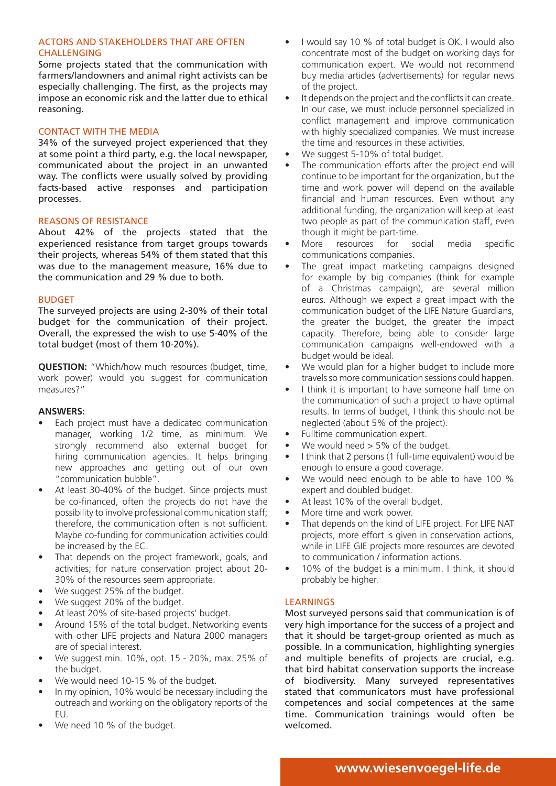# ACTORS AND STAKEHOLDERS THAT ARE OFTEN CHALLENGING

Some projects stated that the communication with farmers/landowners and animal right activists can be especially challenging. The first, as the projects may impose an economic risk and the latter due to ethical reasoning.

# CONTACT WITH THE MEDIA

34% of the surveyed project experienced that they at some point a third party, e.g. the local newspaper, communicated about the project in an unwanted way. The conflicts were usually solved by providing facts-based active responses and participation processes.

# REASONS OF RESISTANCE

About 42% of the projects stated that the experienced resistance from target groups towards their projects, whereas 54% of them stated that this was due to the management measure, 16% due to the communication and 29 % due to both.

# BUDGET

The surveyed projects are using 2-30% of their total budget for the communication of their project. Overall, the expressed the wish to use 5-40% of the total budget (most of them 10-20%).

**QUESTION:** "Which/how much resources (budget, time, work power) would you suggest for communication measures?"

#### **ANSWERS:**

- Each project must have a dedicated communication manager, working 1/2 time, as minimum. We strongly recommend also external budget for hiring communication agencies. It helps bringing new approaches and getting out of our own "communication bubble".
- At least 30-40% of the budget. Since projects must be co-financed, often the projects do not have the possibility to involve professional communication staff; therefore, the communication often is not sufficient. Maybe co-funding for communication activities could be increased by the EC.
- That depends on the project framework, goals, and activities; for nature conservation project about 20- 30% of the resources seem appropriate.
- We suggest 25% of the budget.
- We suggest 20% of the budget.
- At least 20% of site-based projects' budget.
- Around 15% of the total budget. Networking events with other LIFE projects and Natura 2000 managers are of special interest.
- We suggest min. 10%, opt. 15 20%, max. 25% of the budget.
- We would need 10-15 % of the budget.
- In my opinion, 10% would be necessary including the outreach and working on the obligatory reports of the EU.
- We need 10 % of the budget.
- I would say 10 % of total budget is OK. I would also concentrate most of the budget on working days for communication expert. We would not recommend buy media articles (advertisements) for regular news of the project.
- It depends on the project and the conflicts it can create. In our case, we must include personnel specialized in conflict management and improve communication with highly specialized companies. We must increase the time and resources in these activities.
- We suggest 5-10% of total budget.
- The communication efforts after the project end will continue to be important for the organization, but the time and work power will depend on the available financial and human resources. Even without any additional funding, the organization will keep at least two people as part of the communication staff, even though it might be part-time.
- More resources for social media specific communications companies.
- The great impact marketing campaigns designed for example by big companies (think for example of a Christmas campaign), are several million euros. Although we expect a great impact with the communication budget of the LIFE Nature Guardians, the greater the budget, the greater the impact capacity. Therefore, being able to consider large communication campaigns well-endowed with a budget would be ideal.
- We would plan for a higher budget to include more travels so more communication sessions could happen.
- I think it is important to have someone half time on the communication of such a project to have optimal results. In terms of budget, I think this should not be neglected (about 5% of the project).
- Fulltime communication expert.
- We would need > 5% of the budget.
- I think that 2 persons (1 full-time equivalent) would be enough to ensure a good coverage.
- We would need enough to be able to have 100 % expert and doubled budget.
- At least 10% of the overall budget.
- More time and work power.
- That depends on the kind of LIFE project. For LIFE NAT projects, more effort is given in conservation actions, while in LIFE GIE projects more resources are devoted to communication / information actions.
- 10% of the budget is a minimum. I think, it should probably be higher.

# LEARNINGS

Most surveyed persons said that communication is of very high importance for the success of a project and that it should be target-group oriented as much as possible. In a communication, highlighting synergies and multiple benefits of projects are crucial, e.g. that bird habitat conservation supports the increase of biodiversity. Many surveyed representatives stated that communicators must have professional competences and social competences at the same time. Communication trainings would often be welcomed.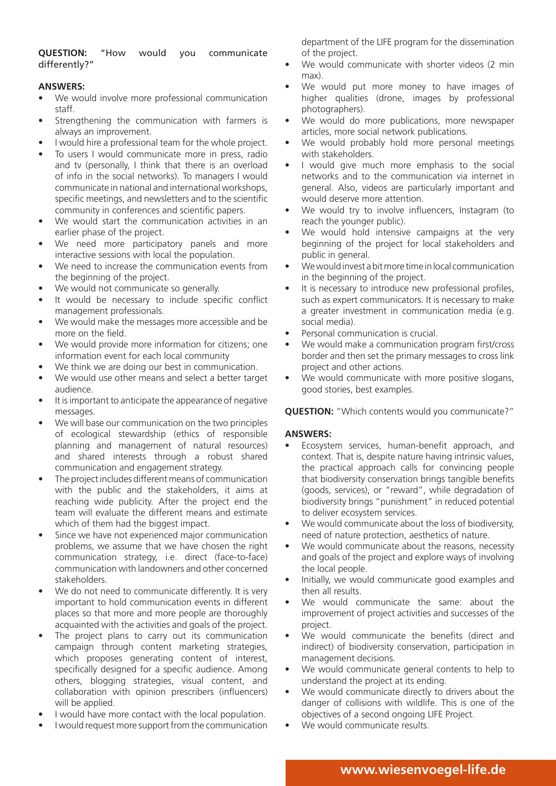**QUESTION:** "How would you communicate differently?"

# **ANSWERS:**

- We would involve more professional communication staff.
- Strengthening the communication with farmers is always an improvement.
- I would hire a professional team for the whole project.
- To users I would communicate more in press, radio and tv (personally, I think that there is an overload of info in the social networks). To managers I would communicate in national and international workshops, specific meetings, and newsletters and to the scientific community in conferences and scientific papers.
- We would start the communication activities in an earlier phase of the project.
- We need more participatory panels and more interactive sessions with local the population.
- We need to increase the communication events from the beginning of the project.
- We would not communicate so generally.
- It would be necessary to include specific conflict management professionals.
- We would make the messages more accessible and be more on the field.
- We would provide more information for citizens; one information event for each local community
- We think we are doing our best in communication.
- We would use other means and select a better target audience.
- It is important to anticipate the appearance of negative messages.
- We will base our communication on the two principles of ecological stewardship (ethics of responsible planning and management of natural resources) and shared interests through a robust shared communication and engagement strategy.
- The project includes different means of communication with the public and the stakeholders, it aims at reaching wide publicity. After the project end the team will evaluate the different means and estimate which of them had the biggest impact.
- Since we have not experienced major communication problems, we assume that we have chosen the right communication strategy, i.e. direct (face-to-face) communication with landowners and other concerned stakeholders.
- We do not need to communicate differently. It is very important to hold communication events in different places so that more and more people are thoroughly acquainted with the activities and goals of the project.
- The project plans to carry out its communication campaign through content marketing strategies, which proposes generating content of interest, specifically designed for a specific audience. Among others, blogging strategies, visual content, and collaboration with opinion prescribers (influencers) will be applied.
- I would have more contact with the local population.
- I would request more support from the communication

department of the LIFE program for the dissemination of the project.

- We would communicate with shorter videos (2 min max).
- We would put more money to have images of higher qualities (drone, images by professional photographers).
- We would do more publications, more newspaper articles, more social network publications.
- We would probably hold more personal meetings with stakeholders.
- I would give much more emphasis to the social networks and to the communication via internet in general. Also, videos are particularly important and would deserve more attention.
- We would try to involve influencers, Instagram (to reach the younger public).
- We would hold intensive campaigns at the very beginning of the project for local stakeholders and public in general.
- We would invest a bit more time in local communication in the beginning of the project.
- It is necessary to introduce new professional profiles, such as expert communicators. It is necessary to make a greater investment in communication media (e.g. social media).
- Personal communication is crucial.
- We would make a communication program first/cross border and then set the primary messages to cross link project and other actions.
- We would communicate with more positive slogans, good stories, best examples.

**QUESTION:** "Which contents would you communicate?"

#### **ANSWERS:**

- Ecosystem services, human-benefit approach, and context. That is, despite nature having intrinsic values, the practical approach calls for convincing people that biodiversity conservation brings tangible benefits (goods, services), or "reward", while degradation of biodiversity brings "punishment" in reduced potential to deliver ecosystem services.
- We would communicate about the loss of biodiversity, need of nature protection, aesthetics of nature.
- We would communicate about the reasons, necessity and goals of the project and explore ways of involving the local people.
- Initially, we would communicate good examples and then all results.
- We would communicate the same: about the improvement of project activities and successes of the project.
- We would communicate the benefits (direct and indirect) of biodiversity conservation, participation in management decisions.
- We would communicate general contents to help to understand the project at its ending.
- We would communicate directly to drivers about the danger of collisions with wildlife. This is one of the objectives of a second ongoing LIFE Project.
- We would communicate results.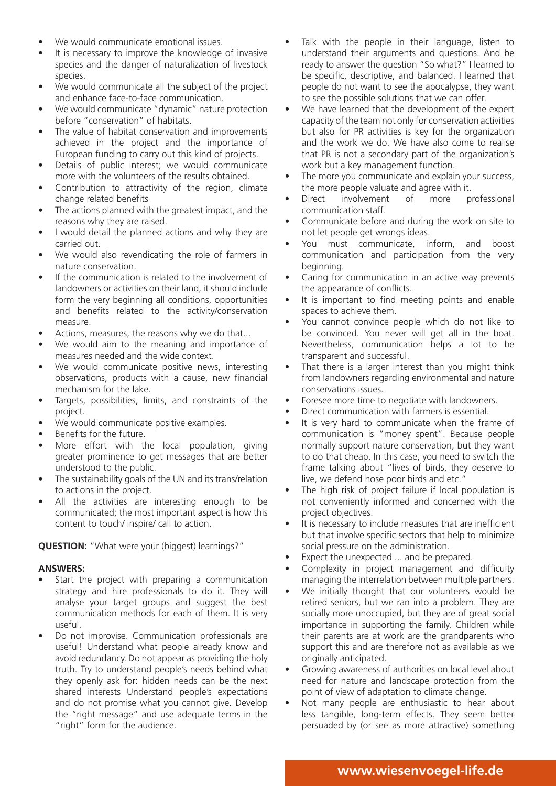- We would communicate emotional issues.
- It is necessary to improve the knowledge of invasive species and the danger of naturalization of livestock species.
- We would communicate all the subject of the project and enhance face-to-face communication.
- We would communicate "dynamic" nature protection before "conservation" of habitats.
- The value of habitat conservation and improvements achieved in the project and the importance of European funding to carry out this kind of projects.
- Details of public interest; we would communicate more with the volunteers of the results obtained.
- Contribution to attractivity of the region, climate change related benefits
- The actions planned with the greatest impact, and the reasons why they are raised.
- I would detail the planned actions and why they are carried out.
- We would also revendicating the role of farmers in nature conservation.
- If the communication is related to the involvement of landowners or activities on their land, it should include form the very beginning all conditions, opportunities and benefits related to the activity/conservation measure.
- Actions, measures, the reasons why we do that...
- We would aim to the meaning and importance of measures needed and the wide context.
- We would communicate positive news, interesting observations, products with a cause, new financial mechanism for the lake.
- Targets, possibilities, limits, and constraints of the project.
- We would communicate positive examples.
- Benefits for the future.
- More effort with the local population, giving greater prominence to get messages that are better understood to the public.
- The sustainability goals of the UN and its trans/relation to actions in the project.
- All the activities are interesting enough to be communicated; the most important aspect is how this content to touch/ inspire/ call to action.

# **QUESTION:** "What were your (biggest) learnings?"

#### **ANSWERS:**

- Start the project with preparing a communication strategy and hire professionals to do it. They will analyse your target groups and suggest the best communication methods for each of them. It is very useful.
- Do not improvise. Communication professionals are useful! Understand what people already know and avoid redundancy. Do not appear as providing the holy truth. Try to understand people's needs behind what they openly ask for: hidden needs can be the next shared interests Understand people's expectations and do not promise what you cannot give. Develop the "right message" and use adequate terms in the "right" form for the audience.
- Talk with the people in their language, listen to understand their arguments and questions. And be ready to answer the question "So what?" I learned to be specific, descriptive, and balanced. I learned that people do not want to see the apocalypse, they want to see the possible solutions that we can offer.
- We have learned that the development of the expert capacity of the team not only for conservation activities but also for PR activities is key for the organization and the work we do. We have also come to realise that PR is not a secondary part of the organization's work but a key management function.
- The more you communicate and explain your success, the more people valuate and agree with it.
- Direct involvement of more professional communication staff.
- Communicate before and during the work on site to not let people get wrongs ideas.
- You must communicate, inform, and boost communication and participation from the very beginning.
- Caring for communication in an active way prevents the appearance of conflicts.
- It is important to find meeting points and enable spaces to achieve them.
- You cannot convince people which do not like to be convinced. You never will get all in the boat. Nevertheless, communication helps a lot to be transparent and successful.
- That there is a larger interest than you might think from landowners regarding environmental and nature conservations issues.
- Foresee more time to negotiate with landowners.
- Direct communication with farmers is essential.
- It is very hard to communicate when the frame of communication is "money spent". Because people normally support nature conservation, but they want to do that cheap. In this case, you need to switch the frame talking about "lives of birds, they deserve to live, we defend hose poor birds and etc."
- The high risk of project failure if local population is not conveniently informed and concerned with the project objectives.
- It is necessary to include measures that are inefficient but that involve specific sectors that help to minimize social pressure on the administration.
- Expect the unexpected ... and be prepared.
- Complexity in project management and difficulty managing the interrelation between multiple partners.
- We initially thought that our volunteers would be retired seniors, but we ran into a problem. They are socially more unoccupied, but they are of great social importance in supporting the family. Children while their parents are at work are the grandparents who support this and are therefore not as available as we originally anticipated.
- Growing awareness of authorities on local level about need for nature and landscape protection from the point of view of adaptation to climate change.
- Not many people are enthusiastic to hear about less tangible, long-term effects. They seem better persuaded by (or see as more attractive) something